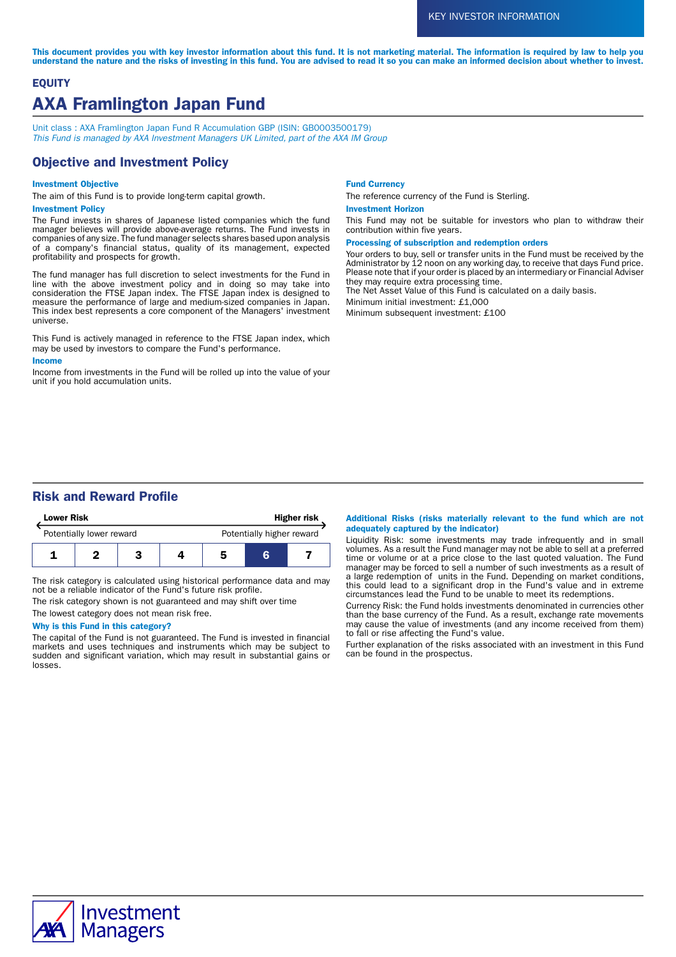This document provides you with key investor information about this fund. It is not marketing material. The information is required by law to help you understand the nature and the risks of investing in this fund. You are advised to read it so you can make an informed decision about whether to invest.

# **EQUITY** AXA Framlington Japan Fund

Unit class : AXA Framlington Japan Fund R Accumulation GBP (ISIN: GB0003500179) This Fund is managed by AXA Investment Managers UK Limited, part of the AXA IM Group

# Objective and Investment Policy

### Investment Objective

The aim of this Fund is to provide long-term capital growth.

### Investment Policy

The Fund invests in shares of Japanese listed companies which the fund manager believes will provide above-average returns. The Fund invests in companies of any size. The fund manager selects shares based upon analysis of a company's financial status, quality of its management, expected profitability and prospects for growth.

The fund manager has full discretion to select investments for the Fund in line with the above investment policy and in doing so may take into consideration the FTSE Japan index. The FTSE Japan index is designed to measure the performance of large and medium-sized companies in Japan. This index best represents a core component of the Managers' investment universe.

This Fund is actively managed in reference to the FTSE Japan index, which may be used by investors to compare the Fund's performance.

#### Income

Income from investments in the Fund will be rolled up into the value of your unit if you hold accumulation units.

#### Fund Currency

The reference currency of the Fund is Sterling.

#### Investment Horizon

This Fund may not be suitable for investors who plan to withdraw their contribution within five years.

Processing of subscription and redemption orders

Your orders to buy, sell or transfer units in the Fund must be received by the Administrator by 12 noon on any working day, to receive that days Fund price. Please note that if your order is placed by an intermediary or Financial Adviser they may require extra processing time.

The Net Asset Value of this Fund is calculated on a daily basis.

Minimum initial investment: £1,000

Minimum subsequent investment: £100

# Risk and Reward Profile

| <b>Lower Risk</b>        |  |  | <b>Higher risk</b> |                           |   |  |
|--------------------------|--|--|--------------------|---------------------------|---|--|
| Potentially lower reward |  |  |                    | Potentially higher reward |   |  |
|                          |  |  |                    | 5                         | G |  |

The risk category is calculated using historical performance data and may not be a reliable indicator of the Fund's future risk profile.

The risk category shown is not guaranteed and may shift over time The lowest category does not mean risk free.

### Why is this Fund in this category?

The capital of the Fund is not guaranteed. The Fund is invested in financial markets and uses techniques and instruments which may be subject to sudden and significant variation, which may result in substantial gains or losses.

#### Additional Risks (risks materially relevant to the fund which are not adequately captured by the indicator)

Liquidity Risk: some investments may trade infrequently and in small volumes. As a result the Fund manager may not be able to sell at a preferred time or volume or at a price close to the last quoted valuation. The Fund manager may be forced to sell a number of such investments as a result of a large redemption of units in the Fund. Depending on market conditions, this could lead to a significant drop in the Fund's value and in extreme circumstances lead the Fund to be unable to meet its redemptions.

Currency Risk: the Fund holds investments denominated in currencies other than the base currency of the Fund. As a result, exchange rate movements may cause the value of investments (and any income received from them) to fall or rise affecting the Fund's value.

Further explanation of the risks associated with an investment in this Fund can be found in the prospectus.